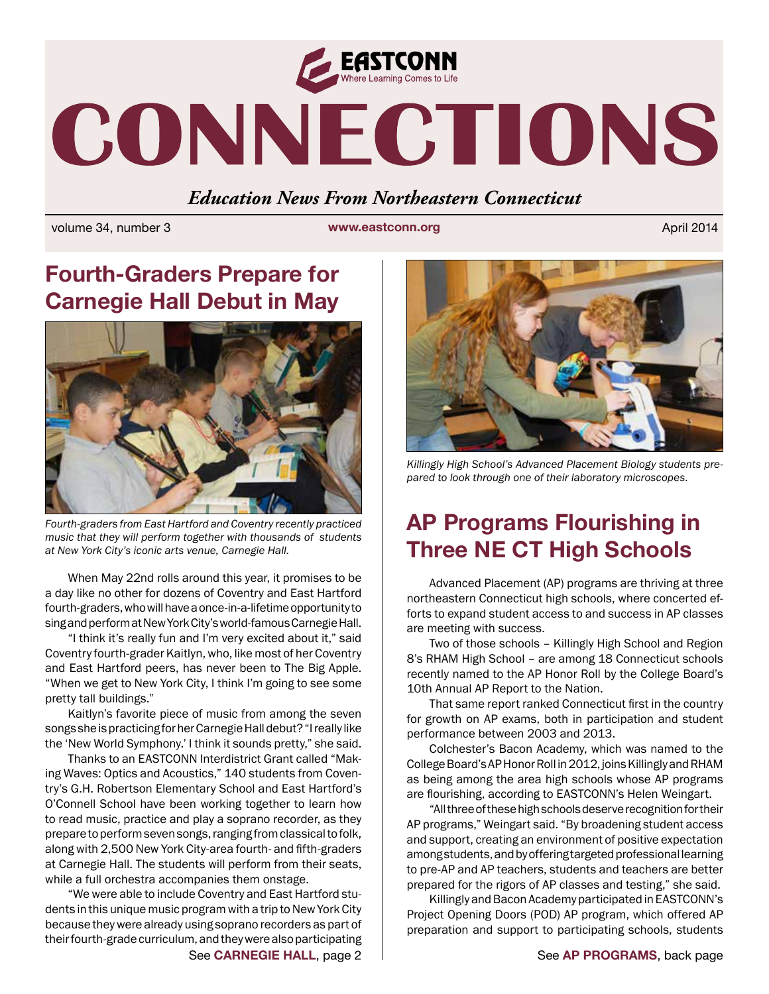

# CONNECTIONS

#### *Education News From Northeastern Connecticut*

volume 34, number 3 **www.eastconn.org** April 2014

# **Fourth-Graders Prepare for Carnegie Hall Debut in May**



*Fourth-graders from East Hartford and Coventry recently practiced music that they will perform together with thousands of students at New York City's iconic arts venue, Carnegie Hall.*

When May 22nd rolls around this year, it promises to be a day like no other for dozens of Coventry and East Hartford fourth-graders, who will have a once-in-a-lifetime opportunity to sing and perform at New York City's world-famous Carnegie Hall.

"I think it's really fun and I'm very excited about it," said Coventry fourth-grader Kaitlyn, who, like most of her Coventry and East Hartford peers, has never been to The Big Apple. "When we get to New York City, I think I'm going to see some pretty tall buildings."

Kaitlyn's favorite piece of music from among the seven songs she is practicing for her Carnegie Hall debut? "I really like the 'New World Symphony.' I think it sounds pretty," she said.

Thanks to an EASTCONN Interdistrict Grant called "Making Waves: Optics and Acoustics," 140 students from Coventry's G.H. Robertson Elementary School and East Hartford's O'Connell School have been working together to learn how to read music, practice and play a soprano recorder, as they prepare to perform seven songs, ranging from classical to folk, along with 2,500 New York City-area fourth- and ffth-graders at Carnegie Hall. The students will perform from their seats, while a full orchestra accompanies them onstage.

"We were able to include Coventry and East Hartford students in this unique music program with a trip to New York City because they were already using soprano recorders as part of their fourth-grade curriculum, and they were also participating



*Killingly High School's Advanced Placement Biology students prepared to look through one of their laboratory microscopes.*

# **AP Programs Flourishing in Three NE CT High Schools**

Advanced Placement (AP) programs are thriving at three northeastern Connecticut high schools, where concerted efforts to expand student access to and success in AP classes are meeting with success.

Two of those schools – Killingly High School and Region 8's RHAM High School – are among 18 Connecticut schools recently named to the AP Honor Roll by the College Board's 10th Annual AP Report to the Nation.

That same report ranked Connecticut first in the country for growth on AP exams, both in participation and student performance between 2003 and 2013.

Colchester's Bacon Academy, which was named to the College Board's AP Honor Roll in 2012, joins Killingly and RHAM as being among the area high schools whose AP programs are fourishing, according to EASTCONN's Helen Weingart.

"All three of these high schools deserve recognition for their AP programs," Weingart said. "By broadening student access and support, creating an environment of positive expectation among students, and by offering targeted professional learning to pre-AP and AP teachers, students and teachers are better prepared for the rigors of AP classes and testing," she said.

Killingly and Bacon Academy participated in EASTCONN's Project Opening Doors (POD) AP program, which offered AP preparation and support to participating schools, students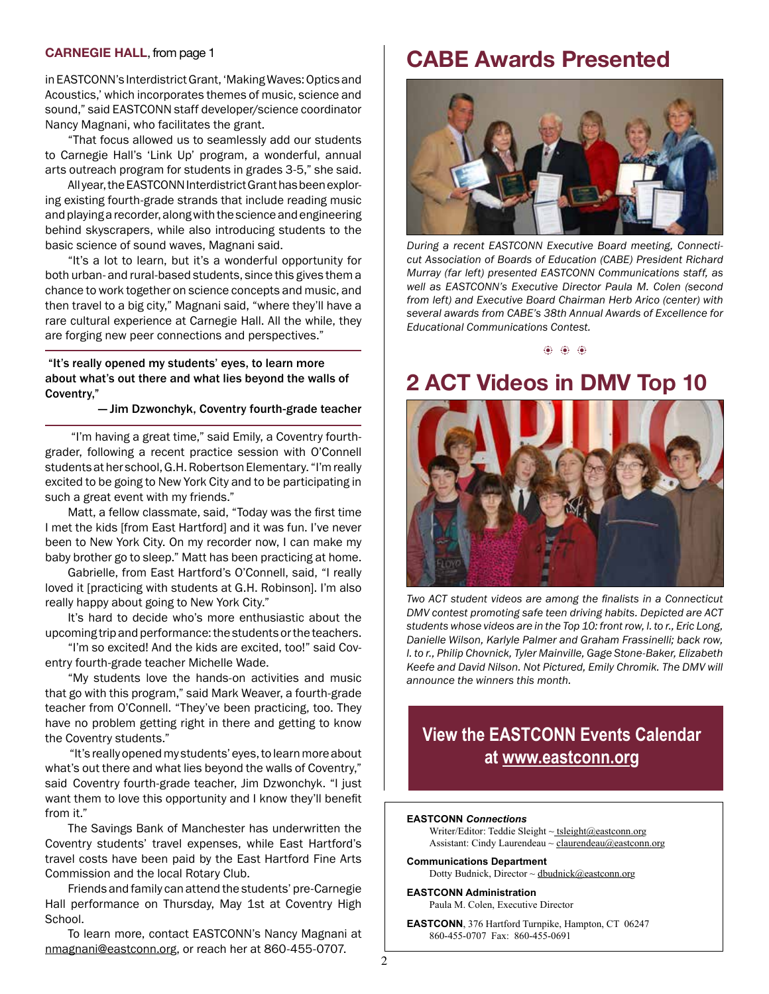#### **CARNEGIE HALL**, from page 1

in EASTCONN's Interdistrict Grant, 'Making Waves: Optics and Acoustics,' which incorporates themes of music, science and sound," said EASTCONN staff developer/science coordinator Nancy Magnani, who facilitates the grant.

"That focus allowed us to seamlessly add our students to Carnegie Hall's 'Link Up' program, a wonderful, annual arts outreach program for students in grades 3-5," she said.

All year, the EASTCONN Interdistrict Grant has been exploring existing fourth-grade strands that include reading music and playing a recorder, along with the science and engineering behind skyscrapers, while also introducing students to the basic science of sound waves, Magnani said.

"It's a lot to learn, but it's a wonderful opportunity for both urban- and rural-based students, since this gives them a chance to work together on science concepts and music, and then travel to a big city," Magnani said, "where they'll have a rare cultural experience at Carnegie Hall. All the while, they are forging new peer connections and perspectives."

#### "It's really opened my students' eyes, to learn more about what's out there and what lies beyond the walls of Coventry,"

— Jim Dzwonchyk, Coventry fourth-grade teacher

 "I'm having a great time," said Emily, a Coventry fourthgrader, following a recent practice session with O'Connell students at her school, G.H. Robertson Elementary. "I'm really excited to be going to New York City and to be participating in such a great event with my friends."

Matt, a fellow classmate, said, "Today was the first time I met the kids [from East Hartford] and it was fun. I've never been to New York City. On my recorder now, I can make my baby brother go to sleep." Matt has been practicing at home.

Gabrielle, from East Hartford's O'Connell, said, "I really loved it [practicing with students at G.H. Robinson]. I'm also really happy about going to New York City."

It's hard to decide who's more enthusiastic about the upcoming trip and performance: the students or the teachers.

"I'm so excited! And the kids are excited, too!" said Coventry fourth-grade teacher Michelle Wade.

"My students love the hands-on activities and music that go with this program," said Mark Weaver, a fourth-grade teacher from O'Connell. "They've been practicing, too. They have no problem getting right in there and getting to know the Coventry students."

 "It's really opened my students' eyes, to learn more about what's out there and what lies beyond the walls of Coventry," said Coventry fourth-grade teacher, Jim Dzwonchyk. "I just want them to love this opportunity and I know they'll benefit from it."

The Savings Bank of Manchester has underwritten the Coventry students' travel expenses, while East Hartford's travel costs have been paid by the East Hartford Fine Arts Commission and the local Rotary Club.

Friends and family can attend the students' pre-Carnegie Hall performance on Thursday, May 1st at Coventry High School.

To learn more, contact EASTCONN's Nancy Magnani at [nmagnani@eastconn.org,](mailto:nmagnani@eastconn.org) or reach her at 860-455-0707.

#### **CABE Awards Presented**



*During a recent EASTCONN Executive Board meeting, Connecticut Association of Boards of Education (CABE) President Richard Murray (far left) presented EASTCONN Communications staff, as well as EASTCONN's Executive Director Paula M. Colen (second from left) and Executive Board Chairman Herb Arico (center) with several awards from CABE's 38th Annual Awards of Excellence for Educational Communications Contest.* 

 $\langle 0 \rangle$   $\langle 0 \rangle$   $\langle 0 \rangle$ 

## **2 ACT Videos in DMV Top 10**



*Two ACT student videos are among the fnalists in a Connecticut DMV contest promoting safe teen driving habits. Depicted are ACT students whose videos are in the Top 10: front row, l. to r., Eric Long, Danielle Wilson, Karlyle Palmer and Graham Frassinelli; back row, l. to r., Philip Chovnick, Tyler Mainville, Gage Stone-Baker, Elizabeth Keefe and David Nilson. Not Pictured, Emily Chromik. The DMV will announce the winners this month.* 

#### **View the EASTCONN Events Calendar at<www.eastconn.org>**

#### **EASTCONN** *Connections*

Writer/Editor: Teddie Sleight  $\sim$  tsleight@eastconn.org Assistant: Cindy Laurendeau ~ [claurendeau@eastconn.org](mailto:claurendeau@eastconn.org)

**[Communications Department](%20mailto:connections@eastconn.org)** [Dotty Budnick](mailto:dbudnick@eastconn.org), Director  $\sim$  dbudnick@eastconn.org

**EASTCONN Administration** Paula M. Colen, Executive Director

**EASTCONN**, 376 Hartford Turnpike, Hampton, CT 06247 860-455-0707 Fax: 860-455-0691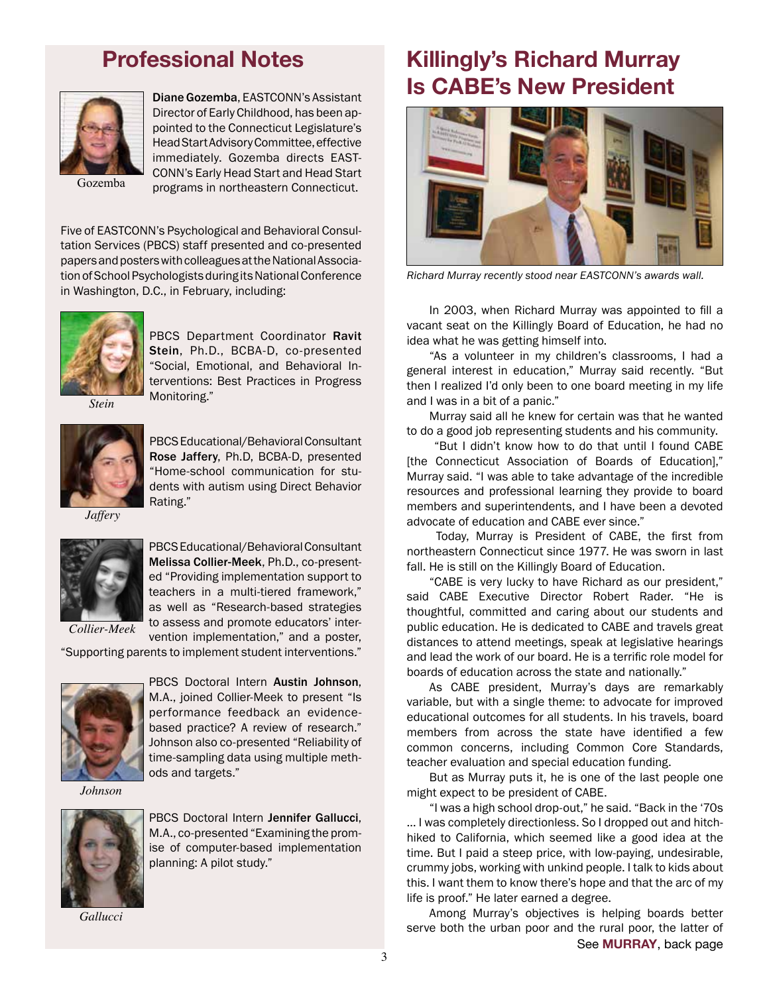### **Professional Notes**



Diane Gozemba, EASTCONN's Assistant Director of Early Childhood, has been appointed to the Connecticut Legislature's Head Start Advisory Committee, effective immediately. Gozemba directs EAST-CONN's Early Head Start and Head Start programs in northeastern Connecticut.

Gozemba

Five of EASTCONN's Psychological and Behavioral Consultation Services (PBCS) staff presented and co-presented papers and posters with colleagues at the National Association of School Psychologists during its National Conference in Washington, D.C., in February, including:



PBCS Department Coordinator Ravit Stein, Ph.D., BCBA-D, co-presented "Social, Emotional, and Behavioral Interventions: Best Practices in Progress Monitoring."

*Stein*



PBCS Educational/Behavioral Consultant Rose Jaffery, Ph.D, BCBA-D, presented "Home-school communication for students with autism using Direct Behavior Rating."

*Jaffery*



PBCS Educational/Behavioral Consultant Melissa Collier-Meek, Ph.D., co-presented "Providing implementation support to teachers in a multi-tiered framework," as well as "Research-based strategies to assess and promote educators' intervention implementation," and a poster,

"Supporting parents to implement student interventions."



PBCS Doctoral Intern Austin Johnson, M.A., joined Collier-Meek to present "Is performance feedback an evidencebased practice? A review of research." Johnson also co-presented "Reliability of time-sampling data using multiple methods and targets."

*Johnson*



PBCS Doctoral Intern Jennifer Gallucci, M.A., co-presented "Examining the promise of computer-based implementation planning: A pilot study."

*Gallucci*

# **Killingly's Richard Murray Is CABE's New President**



*Richard Murray recently stood near EASTCONN's awards wall.* 

In 2003, when Richard Murray was appointed to fll a vacant seat on the Killingly Board of Education, he had no idea what he was getting himself into.

"As a volunteer in my children's classrooms, I had a general interest in education," Murray said recently. "But then I realized I'd only been to one board meeting in my life and I was in a bit of a panic."

Murray said all he knew for certain was that he wanted to do a good job representing students and his community.

 "But I didn't know how to do that until I found CABE [the Connecticut Association of Boards of Education]," Murray said. "I was able to take advantage of the incredible resources and professional learning they provide to board members and superintendents, and I have been a devoted advocate of education and CABE ever since."

Today, Murray is President of CABE, the first from northeastern Connecticut since 1977. He was sworn in last fall. He is still on the Killingly Board of Education.

"CABE is very lucky to have Richard as our president," said CABE Executive Director Robert Rader. "He is thoughtful, committed and caring about our students and public education. He is dedicated to CABE and travels great distances to attend meetings, speak at legislative hearings and lead the work of our board. He is a terrific role model for boards of education across the state and nationally."

As CABE president, Murray's days are remarkably variable, but with a single theme: to advocate for improved educational outcomes for all students. In his travels, board members from across the state have identifed a few common concerns, including Common Core Standards, teacher evaluation and special education funding.

But as Murray puts it, he is one of the last people one might expect to be president of CABE.

"I was a high school drop-out," he said. "Back in the '70s … I was completely directionless. So I dropped out and hitchhiked to California, which seemed like a good idea at the time. But I paid a steep price, with low-paying, undesirable, crummy jobs, working with unkind people. I talk to kids about this. I want them to know there's hope and that the arc of my life is proof." He later earned a degree.

Among Murray's objectives is helping boards better serve both the urban poor and the rural poor, the latter of See **MURRAY**, back page